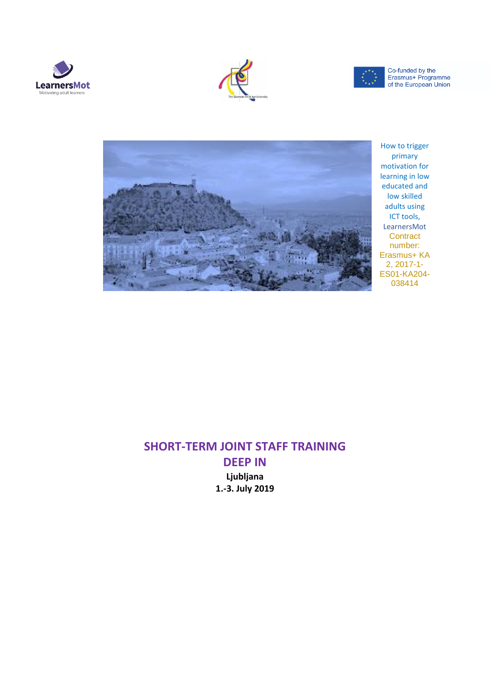







How to trigger primary motivation for learning in low educated and low skilled adults using ICT tools, LearnersMot **Contract** number: Erasmus+ KA 2, 2017-1- ES01-KA204- 038414

### **SHORT-TERM JOINT STAFF TRAINING DEEP IN**

**Ljubljana 1.-3. July 2019**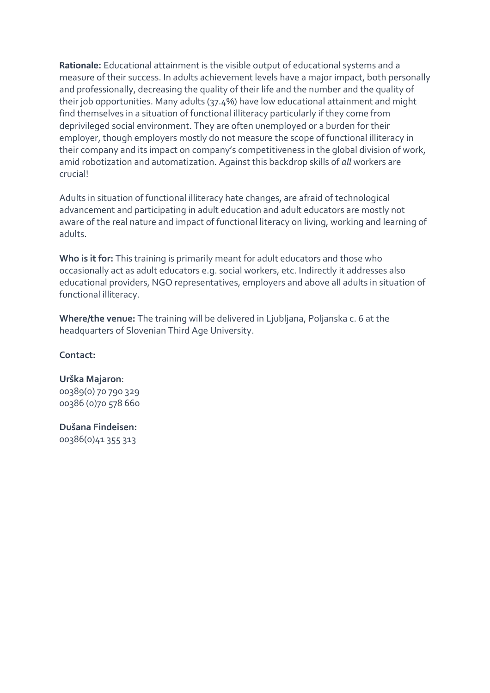**Rationale:** Educational attainment is the visible output of educational systems and a measure of their success. In adults achievement levels have a major impact, both personally and professionally, decreasing the quality of their life and the number and the quality of their job opportunities. Many adults (37.4%) have low educational attainment and might find themselves in a situation of functional illiteracy particularly if they come from deprivileged social environment. They are often unemployed or a burden for their employer, though employers mostly do not measure the scope of functional illiteracy in their company and its impact on company's competitiveness in the global division of work, amid robotization and automatization. Against this backdrop skills of *all* workers are crucial!

Adults in situation of functional illiteracy hate changes, are afraid of technological advancement and participating in adult education and adult educators are mostly not aware of the real nature and impact of functional literacy on living, working and learning of adults.

**Who is it for:** This training is primarily meant for adult educators and those who occasionally act as adult educators e.g. social workers, etc. Indirectly it addresses also educational providers, NGO representatives, employers and above all adults in situation of functional illiteracy.

**Where/the venue:** The training will be delivered in Ljubljana, Poljanska c. 6 at the headquarters of Slovenian Third Age University.

#### **Contact:**

#### **Urška Majaron**:

00389(0) 70 790 329 00386 (0)70 578 660

### **Dušana Findeisen:**

00386(0)41 355 313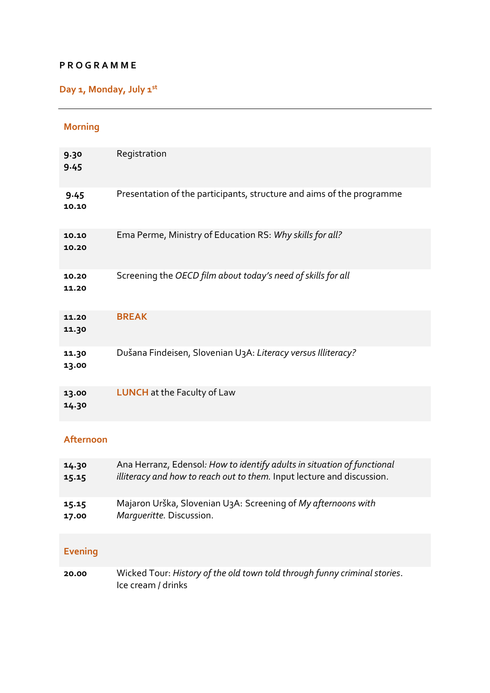#### **P R O G R A M M E**

## **Day 1, Monday, July 1st**

### **Morning**

| 9.30<br>9.45   | Registration                                                          |
|----------------|-----------------------------------------------------------------------|
| 9.45<br>10.10  | Presentation of the participants, structure and aims of the programme |
| 10.10<br>10.20 | Ema Perme, Ministry of Education RS: Why skills for all?              |
| 10.20<br>11.20 | Screening the OECD film about today's need of skills for all          |
| 11.20<br>11.30 | <b>BREAK</b>                                                          |
| 11.30<br>13.00 | Dušana Findeisen, Slovenian U3A: Literacy versus Illiteracy?          |
| 13.00<br>14.30 | <b>LUNCH</b> at the Faculty of Law                                    |

#### **Afternoon**

| 14.30 | Ana Herranz, Edensol: How to identify adults in situation of functional       |
|-------|-------------------------------------------------------------------------------|
| 15.15 | <i>illiteracy and how to reach out to them.</i> Input lecture and discussion. |
| 15.15 | Majaron Urška, Slovenian U <sub>3</sub> A: Screening of My afternoons with    |
| 17.00 | Marqueritte. Discussion.                                                      |

### **Evening**

**20.00** Wicked Tour: *History of the old town told through funny criminal stories*. Ice cream / drinks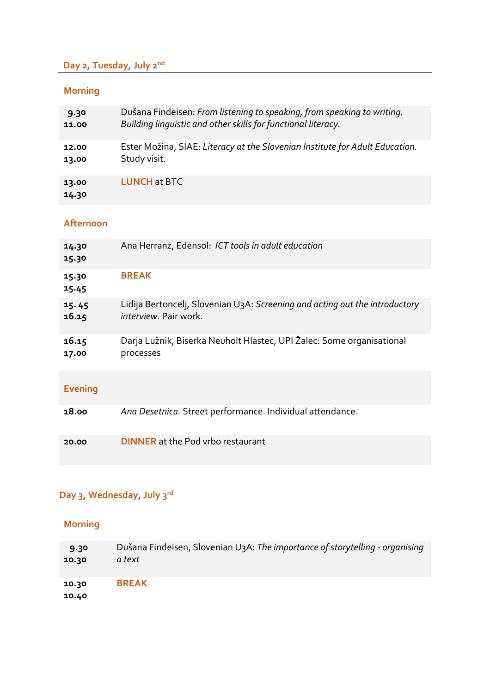## **Day 2, Tuesday, July 2nd**

## **Morning**

| 9.30           | Dušana Findeisen: From listening to speaking, from speaking to writing.      |
|----------------|------------------------------------------------------------------------------|
| 11.00          | Building linguistic and other skills for functional literacy.                |
| 12.00          | Ester Možina, SIAE: Literacy at the Slovenian Institute for Adult Education. |
| 13.00          | Study visit.                                                                 |
| 13.00<br>14.30 | <b>LUNCH at BTC</b>                                                          |

### **Afternoon**

| 14.30<br>15.30 | Ana Herranz, Edensol: ICT tools in adult education                                       |
|----------------|------------------------------------------------------------------------------------------|
| 15.30<br>15.45 | <b>BREAK</b>                                                                             |
| 15.45          | Lidija Bertoncelj, Slovenian U <sub>3</sub> A: Screening and acting out the introductory |
| 16.15          | <i>interview</i> . Pair work.                                                            |
| 16.15          | Darja Lužnik, Biserka Neuholt Hlastec, UPI Žalec: Some organisational                    |
| 17.00          | processes                                                                                |

## **Evening**

| Ana Desetnica. Street performance. Individual attendance.<br>18.00 |  |
|--------------------------------------------------------------------|--|
|--------------------------------------------------------------------|--|

# **Day 3, Wednesday, July 3rd**

## **Morning**

| 9.30           | Dušana Findeisen, Slovenian U <sub>3</sub> A: The importance of storytelling - organising |
|----------------|-------------------------------------------------------------------------------------------|
| 10.30          | a text                                                                                    |
| 10.30<br>10.40 | <b>BREAK</b>                                                                              |